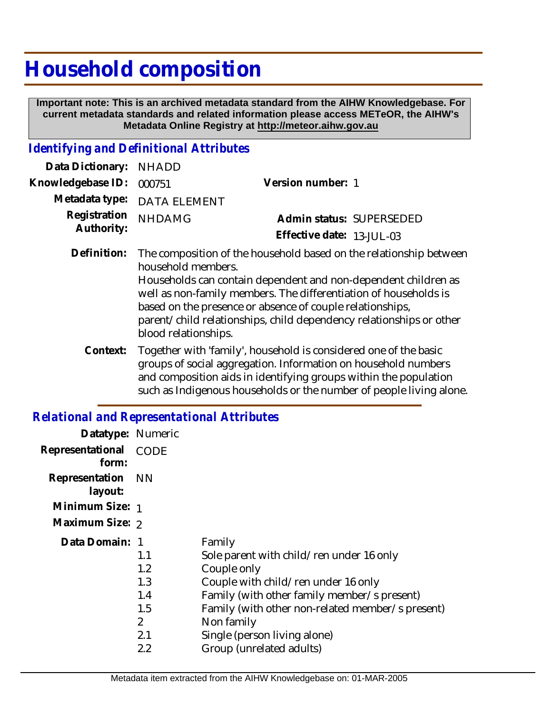## **Household composition**

 **Important note: This is an archived metadata standard from the AIHW Knowledgebase. For current metadata standards and related information please access METeOR, the AIHW's Metadata Online Registry at http://meteor.aihw.gov.au**

## *Identifying and Definitional Attributes*

| Data Dictionary: NHADD            |                             |                           |  |
|-----------------------------------|-----------------------------|---------------------------|--|
| Knowledgebase ID: 000751          |                             | Version number: 1         |  |
|                                   | Metadata type: DATA ELEMENT |                           |  |
| Registration NHDAMG<br>Authority: |                             | Admin status: SUPERSEDED  |  |
|                                   |                             | Effective date: 13-JUL-03 |  |
|                                   |                             |                           |  |

The composition of the household based on the relationship between household members. Households can contain dependent and non-dependent children as well as non-family members. The differentiation of households is based on the presence or absence of couple relationships, parent/child relationships, child dependency relationships or other blood relationships. **Definition:**

Together with 'family', household is considered one of the basic groups of social aggregation. Information on household numbers and composition aids in identifying groups within the population such as Indigenous households or the number of people living alone. **Context:**

## *Relational and Representational Attributes*

| Datatype: Numeric         |                |                                                  |
|---------------------------|----------------|--------------------------------------------------|
| Representational<br>form: | CODE           |                                                  |
| Representation<br>layout: | - NN           |                                                  |
| Minimum Size: 1           |                |                                                  |
| Maximum Size: 2           |                |                                                  |
| Data Domain: 1            |                | Family                                           |
|                           | 1.1            | Sole parent with child/ren under 16 only         |
|                           | 1.2            | Couple only                                      |
|                           | 1.3            | Couple with child/ren under 16 only              |
|                           | 1.4            | Family (with other family member/s present)      |
|                           | 1.5            | Family (with other non-related member/s present) |
|                           | $\overline{2}$ | Non family                                       |
|                           | 2.1            | Single (person living alone)                     |
|                           | 2.2            | Group (unrelated adults)                         |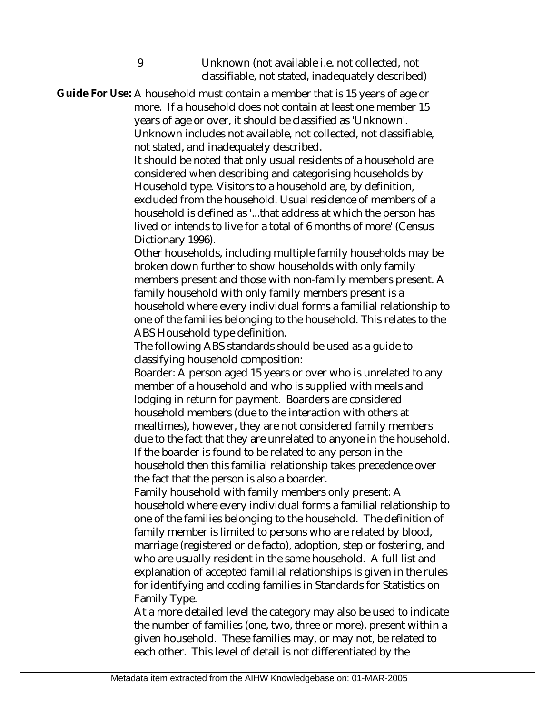9 Unknown (not available i.e. not collected, not classifiable, not stated, inadequately described)

Guide For Use: A household must contain a member that is 15 years of age or more. If a household does not contain at least one member 15 years of age or over, it should be classified as 'Unknown'. Unknown includes not available, not collected, not classifiable, not stated, and inadequately described.

> It should be noted that only usual residents of a household are considered when describing and categorising households by Household type. Visitors to a household are, by definition, excluded from the household. Usual residence of members of a household is defined as '...that address at which the person has lived or intends to live for a total of 6 months of more' (Census Dictionary 1996).

Other households, including multiple family households may be broken down further to show households with only family members present and those with non-family members present. A family household with only family members present is a household where every individual forms a familial relationship to one of the families belonging to the household. This relates to the ABS Household type definition.

The following ABS standards should be used as a guide to classifying household composition:

Boarder: A person aged 15 years or over who is unrelated to any member of a household and who is supplied with meals and lodging in return for payment. Boarders are considered household members (due to the interaction with others at mealtimes), however, they are not considered family members due to the fact that they are unrelated to anyone in the household. If the boarder is found to be related to any person in the household then this familial relationship takes precedence over the fact that the person is also a boarder.

Family household with family members only present: A household where every individual forms a familial relationship to one of the families belonging to the household. The definition of family member is limited to persons who are related by blood, marriage (registered or de facto), adoption, step or fostering, and who are usually resident in the same household. A full list and explanation of accepted familial relationships is given in the rules for identifying and coding families in Standards for Statistics on Family Type.

At a more detailed level the category may also be used to indicate the number of families (one, two, three or more), present within a given household. These families may, or may not, be related to each other. This level of detail is not differentiated by the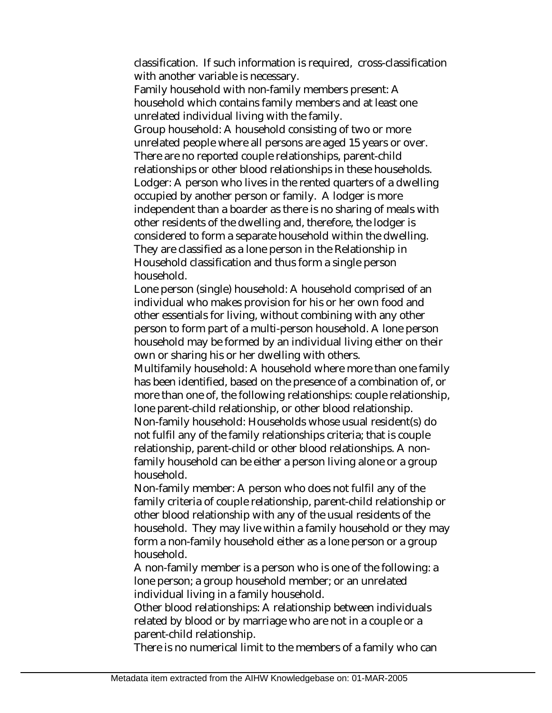classification. If such information is required, cross-classification with another variable is necessary.

Family household with non-family members present: A household which contains family members and at least one unrelated individual living with the family.

Group household: A household consisting of two or more unrelated people where all persons are aged 15 years or over. There are no reported couple relationships, parent-child relationships or other blood relationships in these households. Lodger: A person who lives in the rented quarters of a dwelling occupied by another person or family. A lodger is more independent than a boarder as there is no sharing of meals with other residents of the dwelling and, therefore, the lodger is considered to form a separate household within the dwelling. They are classified as a lone person in the Relationship in Household classification and thus form a single person household.

Lone person (single) household: A household comprised of an individual who makes provision for his or her own food and other essentials for living, without combining with any other person to form part of a multi-person household. A lone person household may be formed by an individual living either on their own or sharing his or her dwelling with others.

Multifamily household: A household where more than one family has been identified, based on the presence of a combination of, or more than one of, the following relationships: couple relationship, lone parent-child relationship, or other blood relationship. Non-family household: Households whose usual resident(s) do

not fulfil any of the family relationships criteria; that is couple relationship, parent-child or other blood relationships. A nonfamily household can be either a person living alone or a group household.

Non-family member: A person who does not fulfil any of the family criteria of couple relationship, parent-child relationship or other blood relationship with any of the usual residents of the household. They may live within a family household or they may form a non-family household either as a lone person or a group household.

A non-family member is a person who is one of the following: a lone person; a group household member; or an unrelated individual living in a family household.

Other blood relationships: A relationship between individuals related by blood or by marriage who are not in a couple or a parent-child relationship.

There is no numerical limit to the members of a family who can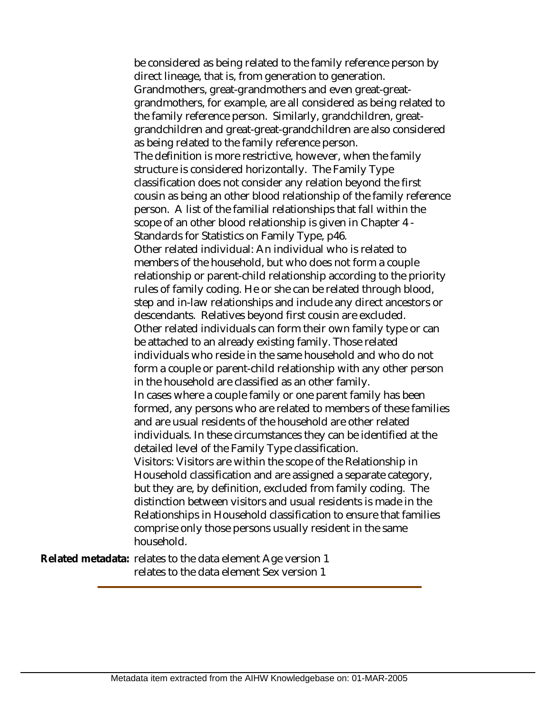be considered as being related to the family reference person by direct lineage, that is, from generation to generation. Grandmothers, great-grandmothers and even great-greatgrandmothers, for example, are all considered as being related to the family reference person. Similarly, grandchildren, greatgrandchildren and great-great-grandchildren are also considered as being related to the family reference person. The definition is more restrictive, however, when the family structure is considered horizontally. The Family Type classification does not consider any relation beyond the first cousin as being an other blood relationship of the family reference person. A list of the familial relationships that fall within the scope of an other blood relationship is given in Chapter 4 - Standards for Statistics on Family Type, p46. Other related individual: An individual who is related to members of the household, but who does not form a couple relationship or parent-child relationship according to the priority rules of family coding. He or she can be related through blood, step and in-law relationships and include any direct ancestors or descendants. Relatives beyond first cousin are excluded. Other related individuals can form their own family type or can be attached to an already existing family. Those related individuals who reside in the same household and who do not form a couple or parent-child relationship with any other person in the household are classified as an other family. In cases where a couple family or one parent family has been formed, any persons who are related to members of these families and are usual residents of the household are other related individuals. In these circumstances they can be identified at the detailed level of the Family Type classification. Visitors: Visitors are within the scope of the Relationship in Household classification and are assigned a separate category, but they are, by definition, excluded from family coding. The distinction between visitors and usual residents is made in the Relationships in Household classification to ensure that families comprise only those persons usually resident in the same household.

Related metadata: relates to the data element Age version 1 relates to the data element Sex version 1